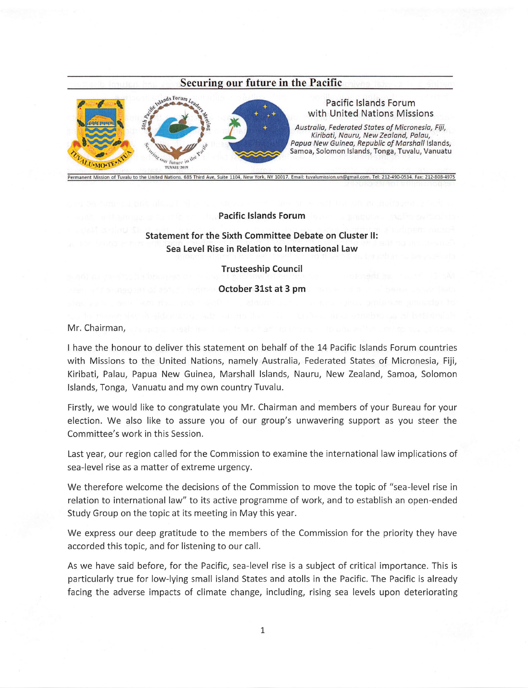## Securing our future in the Pacific



## Pacific isiands Forum with United Nations Missions

Australia, Federated States of Micronesia, Fiji, Kiribati, Nauru, New Zealand, Paiau, Papua New Guinea, Republic of Marshall Islands,<br>Samoa, Solomon Islands, Tonga, Tuvalu, Vanuatu

Pacific Islands Forum

Statement for the Sixth Committee Debate on Cluster II: Sea Level Rise in Relation to International Law

Trusteeship Council

October 31st at 3 pm

## Mr. Chairman,

I have the honour to deiiver this statement on behalf of the 14 Pacific Islands Forum countries with Missions to the United Nations, namely Australia, Federated States of Micronesia, Fiji, Kiribati, Paiau, Papua New Guinea, Marshall islands, Nauru, New Zealand, Samoa, Solomon Islands, Tonga, Vanuatu and my own country Tuvalu.

Firstly, we would like to congratulate you Mr. Chairman and members of your Bureau for your election. We also like to assure you of our group's unwavering support as you steer the Committee's work in this Session.

Last year, our region called for the Commission to examine the international law implications of sea-level rise as a matter of extreme urgency.

We therefore welcome the decisions of the Commission to move the topic of "sea-level rise in relation to international law" to its active programme of work, and to establish an open-ended Study Group on the topic at its meeting in May this year.

We express our deep gratitude to the members of the Commission for the priority they have accorded this topic, and for listening to our call.

As we have said before, for the Pacific, sea-level rise is a subject of critical importance. This is particularly true for low-lying small island States and atolls in the Pacific. The Pacific is already facing the adverse impacts of climate change, including, rising sea levels upon deteriorating